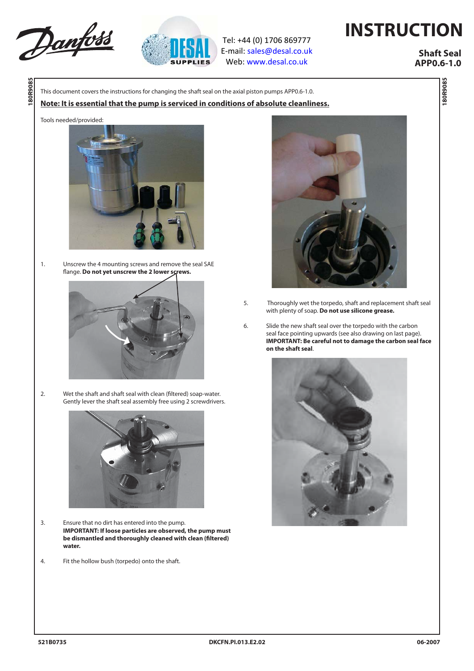



Tel: +44 (0) 1706 869777 E‐mail: sales@desal.co.uk Web: www.desal.co.uk

## **INSTRUCTION**

 **Shaft Seal APP0.6-1.0**

**180R9085**

**180R9085** 

This document covers the instructions for changing the shaft seal on the axial piston pumps APP0.6-1.0.

## **Note: It is essential that the pump is serviced in conditions of absolute cleanliness.**

## Tools needed/provided:

**180R9085**

**180R9085** 



1. Unscrew the 4 mounting screws and remove the seal SAE flange. Do not yet unscrew the 2 lower screws.



2. Wet the shaft and shaft seal with clean (filtered) soap-water. Gently lever the shaft seal assembly free using 2 screwdrivers.



- 3. Ensure that no dirt has entered into the pump.  **IMPORTANT: If loose particles are observed, the pump must**  be dismantled and thoroughly cleaned with clean (filtered) **water.**
- 4. Fit the hollow bush (torpedo) onto the shaft.



- 5. Thoroughly wet the torpedo, shaft and replacement shaft seal with plenty of soap. **Do not use silicone grease.**
- 6. Slide the new shaft seal over the torpedo with the carbon seal face pointing upwards (see also drawing on last page). **IMPORTANT: Be careful not to damage the carbon seal face on the shaft seal**.

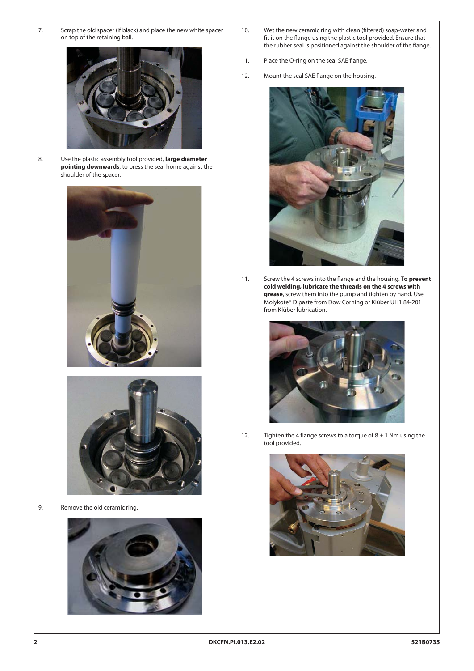7. Scrap the old spacer (if black) and place the new white spacer on top of the retaining ball.



8. Use the plastic assembly tool provided, **large diameter pointing downwards**, to press the seal home against the shoulder of the spacer.





9. Remove the old ceramic ring.



- 10. Wet the new ceramic ring with clean (filtered) soap-water and fit it on the flange using the plastic tool provided. Ensure that the rubber seal is positioned against the shoulder of the flange.
- 11. Place the O-ring on the seal SAE flange.
- 12. Mount the seal SAE flange on the housing.



11. Screw the 4 screws into the flange and the housing. To prevent **cold welding, lubricate the threads on the 4 screws with grease**, screw them into the pump and tighten by hand. Use Molykote® D paste from Dow Corning or Klüber UH1 84-201 from Klüber lubrication.



12. Tighten the 4 flange screws to a torque of  $8 \pm 1$  Nm using the tool provided.